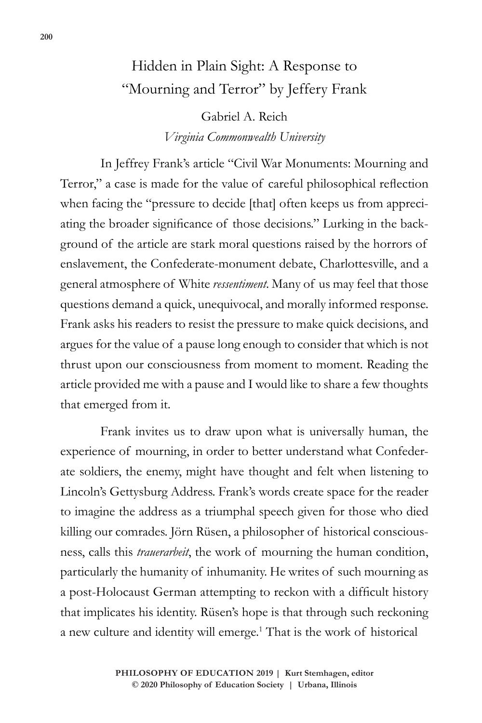## Hidden in Plain Sight: A Response to "Mourning and Terror" by Jeffery Frank

Gabriel A. Reich *Virginia Commonwealth University*

In Jeffrey Frank's article "Civil War Monuments: Mourning and Terror," a case is made for the value of careful philosophical reflection when facing the "pressure to decide [that] often keeps us from appreciating the broader significance of those decisions." Lurking in the background of the article are stark moral questions raised by the horrors of enslavement, the Confederate-monument debate, Charlottesville, and a general atmosphere of White *ressentiment*. Many of us may feel that those questions demand a quick, unequivocal, and morally informed response. Frank asks his readers to resist the pressure to make quick decisions, and argues for the value of a pause long enough to consider that which is not thrust upon our consciousness from moment to moment. Reading the article provided me with a pause and I would like to share a few thoughts that emerged from it.

Frank invites us to draw upon what is universally human, the experience of mourning, in order to better understand what Confederate soldiers, the enemy, might have thought and felt when listening to Lincoln's Gettysburg Address. Frank's words create space for the reader to imagine the address as a triumphal speech given for those who died killing our comrades. Jörn Rüsen, a philosopher of historical consciousness, calls this *trauerarbeit*, the work of mourning the human condition, particularly the humanity of inhumanity. He writes of such mourning as a post-Holocaust German attempting to reckon with a difficult history that implicates his identity. Rüsen's hope is that through such reckoning a new culture and identity will emerge.<sup>1</sup> That is the work of historical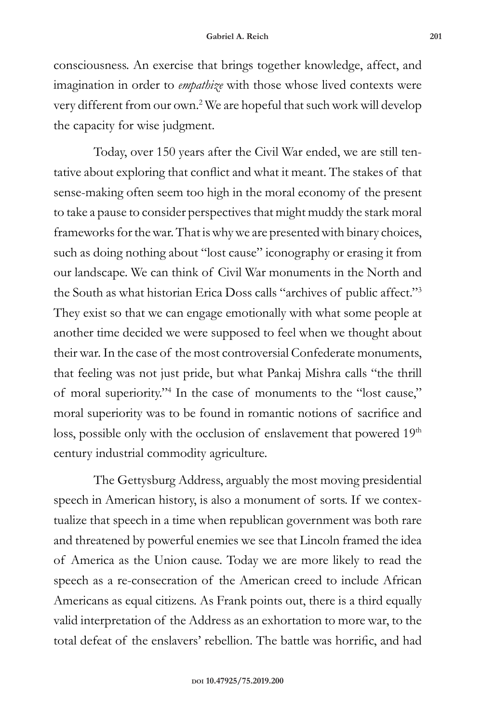consciousness. An exercise that brings together knowledge, affect, and imagination in order to *empathize* with those whose lived contexts were very different from our own.2 We are hopeful that such work will develop the capacity for wise judgment.

Today, over 150 years after the Civil War ended, we are still tentative about exploring that conflict and what it meant. The stakes of that sense-making often seem too high in the moral economy of the present to take a pause to consider perspectives that might muddy the stark moral frameworks for the war. That is why we are presented with binary choices, such as doing nothing about "lost cause" iconography or erasing it from our landscape. We can think of Civil War monuments in the North and the South as what historian Erica Doss calls "archives of public affect."3 They exist so that we can engage emotionally with what some people at another time decided we were supposed to feel when we thought about their war. In the case of the most controversial Confederate monuments, that feeling was not just pride, but what Pankaj Mishra calls "the thrill of moral superiority."4 In the case of monuments to the "lost cause," moral superiority was to be found in romantic notions of sacrifice and loss, possible only with the occlusion of enslavement that powered 19<sup>th</sup> century industrial commodity agriculture.

The Gettysburg Address, arguably the most moving presidential speech in American history, is also a monument of sorts. If we contextualize that speech in a time when republican government was both rare and threatened by powerful enemies we see that Lincoln framed the idea of America as the Union cause. Today we are more likely to read the speech as a re-consecration of the American creed to include African Americans as equal citizens. As Frank points out, there is a third equally valid interpretation of the Address as an exhortation to more war, to the total defeat of the enslavers' rebellion. The battle was horrific, and had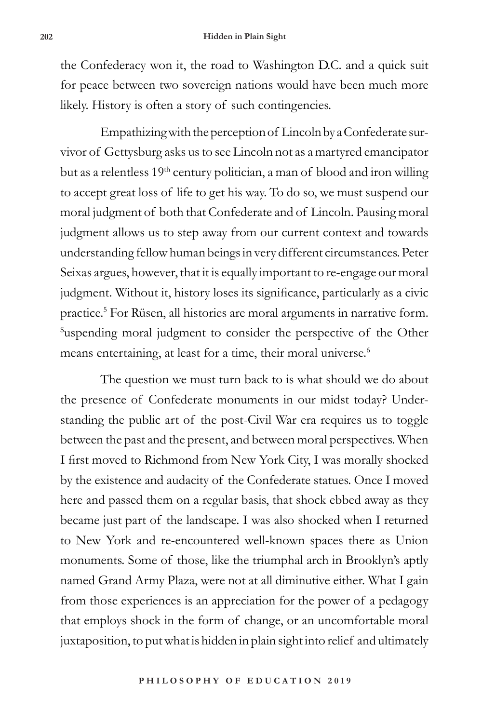the Confederacy won it, the road to Washington D.C. and a quick suit for peace between two sovereign nations would have been much more likely. History is often a story of such contingencies.

Empathizing with the perception of Lincoln by a Confederate survivor of Gettysburg asks us to see Lincoln not as a martyred emancipator but as a relentless  $19<sup>th</sup>$  century politician, a man of blood and iron willing to accept great loss of life to get his way. To do so, we must suspend our moral judgment of both that Confederate and of Lincoln. Pausing moral judgment allows us to step away from our current context and towards understanding fellow human beings in very different circumstances. Peter Seixas argues, however, that it is equally important to re-engage our moral judgment. Without it, history loses its significance, particularly as a civic practice.5 For Rüsen, all histories are moral arguments in narrative form. Suspending moral judgment to consider the perspective of the Other means entertaining, at least for a time, their moral universe.<sup>6</sup>

The question we must turn back to is what should we do about the presence of Confederate monuments in our midst today? Understanding the public art of the post-Civil War era requires us to toggle between the past and the present, and between moral perspectives. When I first moved to Richmond from New York City, I was morally shocked by the existence and audacity of the Confederate statues. Once I moved here and passed them on a regular basis, that shock ebbed away as they became just part of the landscape. I was also shocked when I returned to New York and re-encountered well-known spaces there as Union monuments. Some of those, like the triumphal arch in Brooklyn's aptly named Grand Army Plaza, were not at all diminutive either. What I gain from those experiences is an appreciation for the power of a pedagogy that employs shock in the form of change, or an uncomfortable moral juxtaposition, to put what is hidden in plain sight into relief and ultimately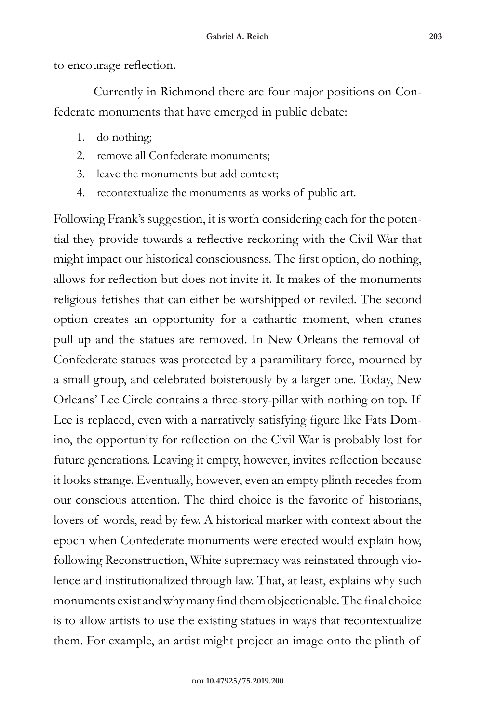to encourage reflection.

Currently in Richmond there are four major positions on Confederate monuments that have emerged in public debate:

- 1. do nothing;
- 2. remove all Confederate monuments;
- 3. leave the monuments but add context;
- 4. recontextualize the monuments as works of public art.

Following Frank's suggestion, it is worth considering each for the potential they provide towards a reflective reckoning with the Civil War that might impact our historical consciousness. The first option, do nothing, allows for reflection but does not invite it. It makes of the monuments religious fetishes that can either be worshipped or reviled. The second option creates an opportunity for a cathartic moment, when cranes pull up and the statues are removed. In New Orleans the removal of Confederate statues was protected by a paramilitary force, mourned by a small group, and celebrated boisterously by a larger one. Today, New Orleans' Lee Circle contains a three-story-pillar with nothing on top. If Lee is replaced, even with a narratively satisfying figure like Fats Domino, the opportunity for reflection on the Civil War is probably lost for future generations. Leaving it empty, however, invites reflection because it looks strange. Eventually, however, even an empty plinth recedes from our conscious attention. The third choice is the favorite of historians, lovers of words, read by few. A historical marker with context about the epoch when Confederate monuments were erected would explain how, following Reconstruction, White supremacy was reinstated through violence and institutionalized through law. That, at least, explains why such monuments exist and why many find them objectionable. The final choice is to allow artists to use the existing statues in ways that recontextualize them. For example, an artist might project an image onto the plinth of